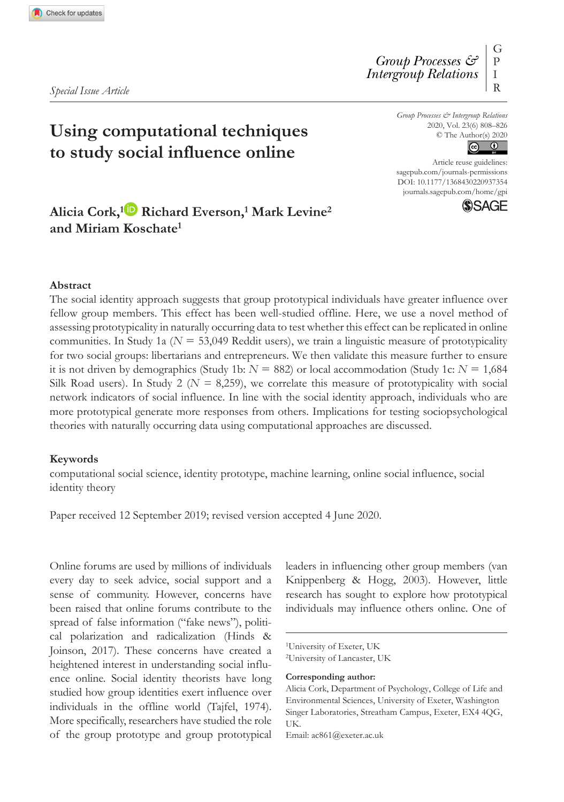*Special Issue Article*

G P I R *Group Processes & Intergroup Relations*

**Using computational techniques to study social influence online**

*Group Processes & Intergroup Relations* 2020, Vol. 23(6) 808–826 © The Author(s) 2020



DOI: 10.1177/1368430220937354 Article reuse guidelines: [sagepub.com/journals-permissions](https://uk.sagepub.com/en-gb/journals-permissions) [journals.sagepub.com/home/gpi](https://journals.sagepub.com/home/gpi)



## **Alicia Cork,1 Richard Everson,1 Mark Levine2 and Miriam Koschate1**

#### **Abstract**

The social identity approach suggests that group prototypical individuals have greater influence over fellow group members. This effect has been well-studied offline. Here, we use a novel method of assessing prototypicality in naturally occurring data to test whether this effect can be replicated in online communities. In Study 1a ( $N = 53.049$  Reddit users), we train a linguistic measure of prototypicality for two social groups: libertarians and entrepreneurs. We then validate this measure further to ensure it is not driven by demographics (Study 1b:  $N = 882$ ) or local accommodation (Study 1c:  $N = 1,684$ ) Silk Road users). In Study 2 ( $N = 8,259$ ), we correlate this measure of prototypicality with social network indicators of social influence. In line with the social identity approach, individuals who are more prototypical generate more responses from others. Implications for testing sociopsychological theories with naturally occurring data using computational approaches are discussed.

#### **Keywords**

computational social science, identity prototype, machine learning, online social influence, social identity theory

Paper received 12 September 2019; revised version accepted 4 June 2020.

Online forums are used by millions of individuals every day to seek advice, social support and a sense of community. However, concerns have been raised that online forums contribute to the spread of false information ("fake news"), political polarization and radicalization (Hinds & Joinson, 2017). These concerns have created a heightened interest in understanding social influence online. Social identity theorists have long studied how group identities exert influence over individuals in the offline world (Tajfel, 1974). More specifically, researchers have studied the role of the group prototype and group prototypical leaders in influencing other group members (van Knippenberg & Hogg, 2003). However, little research has sought to explore how prototypical individuals may influence others online. One of

**Corresponding author:**

<sup>1</sup>University of Exeter, UK

<sup>2</sup>University of Lancaster, UK

Alicia Cork, Department of Psychology, College of Life and Environmental Sciences, University of Exeter, Washington Singer Laboratories, Streatham Campus, Exeter, EX4 4QG, UK.

Email: [ac861@exeter.ac.uk](mailto:ac861@exeter.ac.uk)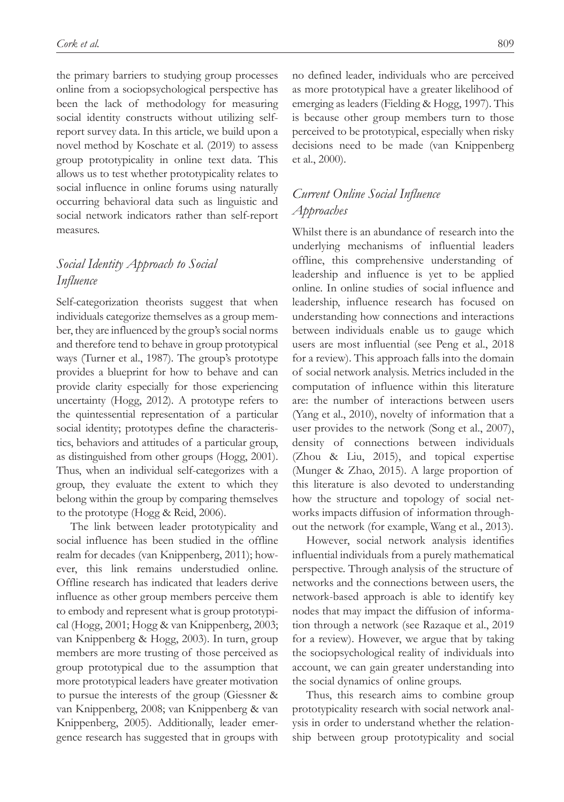the primary barriers to studying group processes online from a sociopsychological perspective has been the lack of methodology for measuring social identity constructs without utilizing selfreport survey data. In this article, we build upon a novel method by Koschate et al. (2019) to assess group prototypicality in online text data. This allows us to test whether prototypicality relates to social influence in online forums using naturally occurring behavioral data such as linguistic and social network indicators rather than self-report measures.

# *Social Identity Approach to Social Influence*

Self-categorization theorists suggest that when individuals categorize themselves as a group member, they are influenced by the group's social norms and therefore tend to behave in group prototypical ways (Turner et al., 1987). The group's prototype provides a blueprint for how to behave and can provide clarity especially for those experiencing uncertainty (Hogg, 2012). A prototype refers to the quintessential representation of a particular social identity; prototypes define the characteristics, behaviors and attitudes of a particular group, as distinguished from other groups (Hogg, 2001). Thus, when an individual self-categorizes with a group, they evaluate the extent to which they belong within the group by comparing themselves to the prototype (Hogg & Reid, 2006).

The link between leader prototypicality and social influence has been studied in the offline realm for decades (van Knippenberg, 2011); however, this link remains understudied online. Offline research has indicated that leaders derive influence as other group members perceive them to embody and represent what is group prototypical (Hogg, 2001; Hogg & van Knippenberg, 2003; van Knippenberg & Hogg, 2003). In turn, group members are more trusting of those perceived as group prototypical due to the assumption that more prototypical leaders have greater motivation to pursue the interests of the group (Giessner & van Knippenberg, 2008; van Knippenberg & van Knippenberg, 2005). Additionally, leader emergence research has suggested that in groups with no defined leader, individuals who are perceived as more prototypical have a greater likelihood of emerging as leaders (Fielding & Hogg, 1997). This is because other group members turn to those perceived to be prototypical, especially when risky decisions need to be made (van Knippenberg et al., 2000).

# *Current Online Social Influence Approaches*

Whilst there is an abundance of research into the underlying mechanisms of influential leaders offline, this comprehensive understanding of leadership and influence is yet to be applied online. In online studies of social influence and leadership, influence research has focused on understanding how connections and interactions between individuals enable us to gauge which users are most influential (see Peng et al., 2018 for a review). This approach falls into the domain of social network analysis. Metrics included in the computation of influence within this literature are: the number of interactions between users (Yang et al., 2010), novelty of information that a user provides to the network (Song et al., 2007), density of connections between individuals (Zhou & Liu, 2015), and topical expertise (Munger & Zhao, 2015). A large proportion of this literature is also devoted to understanding how the structure and topology of social networks impacts diffusion of information throughout the network (for example, Wang et al., 2013).

However, social network analysis identifies influential individuals from a purely mathematical perspective. Through analysis of the structure of networks and the connections between users, the network-based approach is able to identify key nodes that may impact the diffusion of information through a network (see Razaque et al., 2019 for a review). However, we argue that by taking the sociopsychological reality of individuals into account, we can gain greater understanding into the social dynamics of online groups.

Thus, this research aims to combine group prototypicality research with social network analysis in order to understand whether the relationship between group prototypicality and social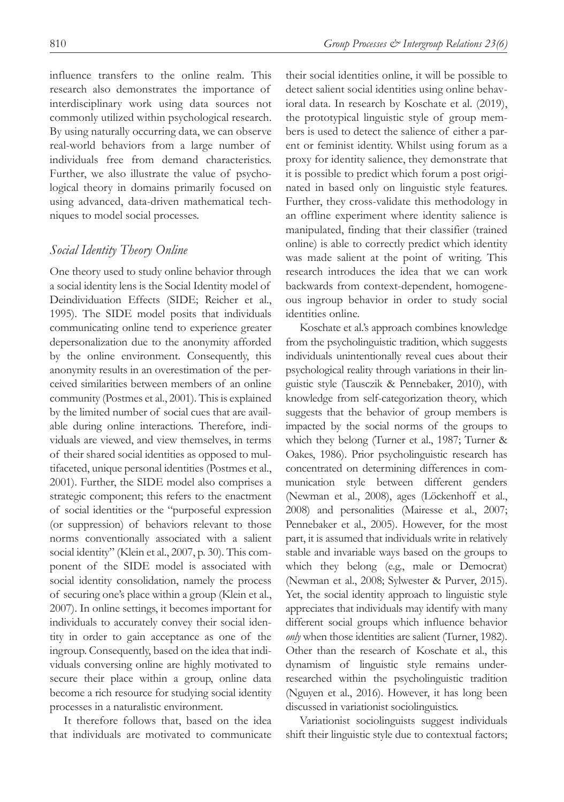influence transfers to the online realm. This research also demonstrates the importance of interdisciplinary work using data sources not commonly utilized within psychological research. By using naturally occurring data, we can observe real-world behaviors from a large number of individuals free from demand characteristics. Further, we also illustrate the value of psychological theory in domains primarily focused on using advanced, data-driven mathematical techniques to model social processes.

### *Social Identity Theory Online*

One theory used to study online behavior through a social identity lens is the Social Identity model of Deindividuation Effects (SIDE; Reicher et al., 1995). The SIDE model posits that individuals communicating online tend to experience greater depersonalization due to the anonymity afforded by the online environment. Consequently, this anonymity results in an overestimation of the perceived similarities between members of an online community (Postmes et al., 2001). This is explained by the limited number of social cues that are available during online interactions. Therefore, individuals are viewed, and view themselves, in terms of their shared social identities as opposed to multifaceted, unique personal identities (Postmes et al., 2001). Further, the SIDE model also comprises a strategic component; this refers to the enactment of social identities or the "purposeful expression (or suppression) of behaviors relevant to those norms conventionally associated with a salient social identity" (Klein et al., 2007, p. 30). This component of the SIDE model is associated with social identity consolidation, namely the process of securing one's place within a group (Klein et al., 2007). In online settings, it becomes important for individuals to accurately convey their social identity in order to gain acceptance as one of the ingroup. Consequently, based on the idea that individuals conversing online are highly motivated to secure their place within a group, online data become a rich resource for studying social identity processes in a naturalistic environment.

It therefore follows that, based on the idea that individuals are motivated to communicate their social identities online, it will be possible to detect salient social identities using online behavioral data. In research by Koschate et al. (2019), the prototypical linguistic style of group members is used to detect the salience of either a parent or feminist identity. Whilst using forum as a proxy for identity salience, they demonstrate that it is possible to predict which forum a post originated in based only on linguistic style features. Further, they cross-validate this methodology in an offline experiment where identity salience is manipulated, finding that their classifier (trained online) is able to correctly predict which identity was made salient at the point of writing. This research introduces the idea that we can work backwards from context-dependent, homogeneous ingroup behavior in order to study social identities online.

Koschate et al.'s approach combines knowledge from the psycholinguistic tradition, which suggests individuals unintentionally reveal cues about their psychological reality through variations in their linguistic style (Tausczik & Pennebaker, 2010), with knowledge from self-categorization theory, which suggests that the behavior of group members is impacted by the social norms of the groups to which they belong (Turner et al., 1987; Turner & Oakes, 1986). Prior psycholinguistic research has concentrated on determining differences in communication style between different genders (Newman et al., 2008), ages (Löckenhoff et al., 2008) and personalities (Mairesse et al., 2007; Pennebaker et al., 2005). However, for the most part, it is assumed that individuals write in relatively stable and invariable ways based on the groups to which they belong (e.g., male or Democrat) (Newman et al., 2008; Sylwester & Purver, 2015). Yet, the social identity approach to linguistic style appreciates that individuals may identify with many different social groups which influence behavior *only* when those identities are salient (Turner, 1982). Other than the research of Koschate et al., this dynamism of linguistic style remains underresearched within the psycholinguistic tradition (Nguyen et al., 2016). However, it has long been discussed in variationist sociolinguistics.

Variationist sociolinguists suggest individuals shift their linguistic style due to contextual factors;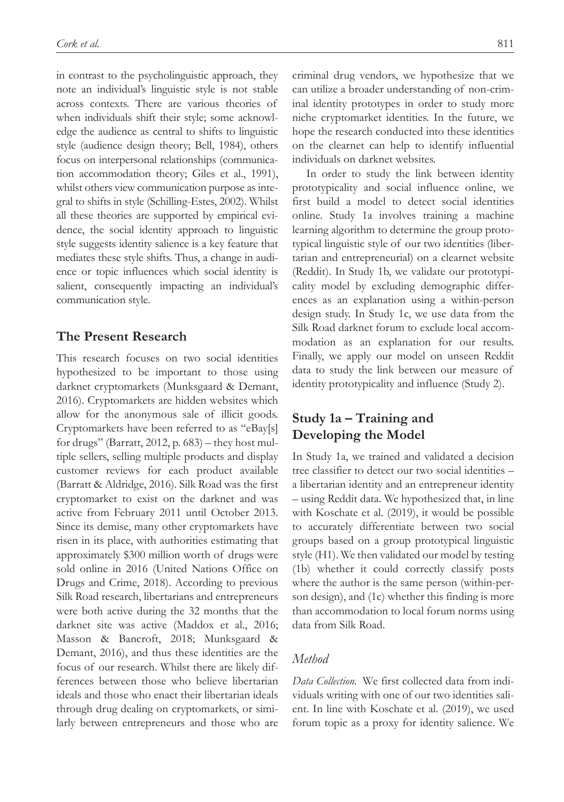in contrast to the psycholinguistic approach, they note an individual's linguistic style is not stable across contexts. There are various theories of when individuals shift their style; some acknowledge the audience as central to shifts to linguistic style (audience design theory; Bell, 1984), others focus on interpersonal relationships (communication accommodation theory; Giles et al., 1991), whilst others view communication purpose as integral to shifts in style (Schilling-Estes, 2002). Whilst all these theories are supported by empirical evidence, the social identity approach to linguistic style suggests identity salience is a key feature that mediates these style shifts. Thus, a change in audience or topic influences which social identity is salient, consequently impacting an individual's communication style.

## **The Present Research**

This research focuses on two social identities hypothesized to be important to those using darknet cryptomarkets (Munksgaard & Demant, 2016). Cryptomarkets are hidden websites which allow for the anonymous sale of illicit goods. Cryptomarkets have been referred to as "eBay[s] for drugs" (Barratt, 2012, p.  $683$ ) – they host multiple sellers, selling multiple products and display customer reviews for each product available (Barratt & Aldridge, 2016). Silk Road was the first cryptomarket to exist on the darknet and was active from February 2011 until October 2013. Since its demise, many other cryptomarkets have risen in its place, with authorities estimating that approximately \$300 million worth of drugs were sold online in 2016 (United Nations Office on Drugs and Crime, 2018). According to previous Silk Road research, libertarians and entrepreneurs were both active during the 32 months that the darknet site was active (Maddox et al., 2016; Masson & Bancroft, 2018; Munksgaard & Demant, 2016), and thus these identities are the focus of our research. Whilst there are likely differences between those who believe libertarian ideals and those who enact their libertarian ideals through drug dealing on cryptomarkets, or similarly between entrepreneurs and those who are

criminal drug vendors, we hypothesize that we can utilize a broader understanding of non-criminal identity prototypes in order to study more niche cryptomarket identities. In the future, we hope the research conducted into these identities on the clearnet can help to identify influential individuals on darknet websites.

In order to study the link between identity prototypicality and social influence online, we first build a model to detect social identities online. Study 1a involves training a machine learning algorithm to determine the group prototypical linguistic style of our two identities (libertarian and entrepreneurial) on a clearnet website (Reddit). In Study 1b, we validate our prototypicality model by excluding demographic differences as an explanation using a within-person design study. In Study 1c, we use data from the Silk Road darknet forum to exclude local accommodation as an explanation for our results. Finally, we apply our model on unseen Reddit data to study the link between our measure of identity prototypicality and influence (Study 2).

# **Study 1a – Training and Developing the Model**

In Study 1a, we trained and validated a decision tree classifier to detect our two social identities – a libertarian identity and an entrepreneur identity – using Reddit data. We hypothesized that, in line with Koschate et al. (2019), it would be possible to accurately differentiate between two social groups based on a group prototypical linguistic style (H1). We then validated our model by testing (1b) whether it could correctly classify posts where the author is the same person (within-person design), and (1c) whether this finding is more than accommodation to local forum norms using data from Silk Road.

## *Method*

*Data Collection.* We first collected data from individuals writing with one of our two identities salient. In line with Koschate et al. (2019), we used forum topic as a proxy for identity salience. We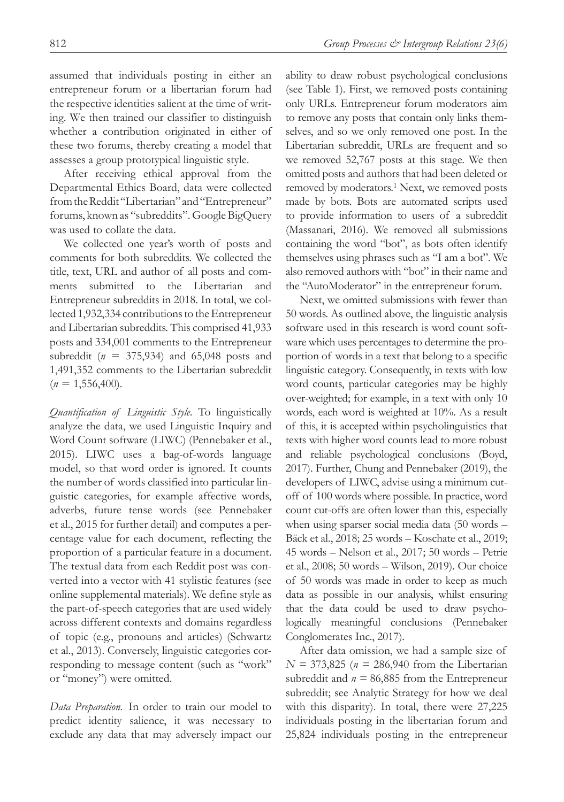assumed that individuals posting in either an entrepreneur forum or a libertarian forum had the respective identities salient at the time of writing. We then trained our classifier to distinguish whether a contribution originated in either of these two forums, thereby creating a model that assesses a group prototypical linguistic style.

After receiving ethical approval from the Departmental Ethics Board, data were collected from the Reddit "Libertarian" and "Entrepreneur" forums, known as "subreddits". Google BigQuery was used to collate the data.

We collected one year's worth of posts and comments for both subreddits. We collected the title, text, URL and author of all posts and comments submitted to the Libertarian and Entrepreneur subreddits in 2018. In total, we collected 1,932,334 contributions to the Entrepreneur and Libertarian subreddits. This comprised 41,933 posts and 334,001 comments to the Entrepreneur subreddit (*n* = 375,934) and 65,048 posts and 1,491,352 comments to the Libertarian subreddit  $(n = 1,556,400)$ .

*Quantification of Linguistic Style.* To linguistically analyze the data, we used Linguistic Inquiry and Word Count software (LIWC) (Pennebaker et al., 2015). LIWC uses a bag-of-words language model, so that word order is ignored. It counts the number of words classified into particular linguistic categories, for example affective words, adverbs, future tense words (see Pennebaker et al., 2015 for further detail) and computes a percentage value for each document, reflecting the proportion of a particular feature in a document. The textual data from each Reddit post was converted into a vector with 41 stylistic features (see online supplemental materials). We define style as the part-of-speech categories that are used widely across different contexts and domains regardless of topic (e.g., pronouns and articles) (Schwartz et al., 2013). Conversely, linguistic categories corresponding to message content (such as "work" or "money") were omitted.

*Data Preparation.* In order to train our model to predict identity salience, it was necessary to exclude any data that may adversely impact our ability to draw robust psychological conclusions (see Table 1). First, we removed posts containing only URLs. Entrepreneur forum moderators aim to remove any posts that contain only links themselves, and so we only removed one post. In the Libertarian subreddit, URLs are frequent and so we removed 52,767 posts at this stage. We then omitted posts and authors that had been deleted or removed by moderators.<sup>1</sup> Next, we removed posts made by bots. Bots are automated scripts used to provide information to users of a subreddit (Massanari, 2016). We removed all submissions containing the word "bot", as bots often identify themselves using phrases such as "I am a bot". We also removed authors with "bot" in their name and the "AutoModerator" in the entrepreneur forum.

Next, we omitted submissions with fewer than 50 words. As outlined above, the linguistic analysis software used in this research is word count software which uses percentages to determine the proportion of words in a text that belong to a specific linguistic category. Consequently, in texts with low word counts, particular categories may be highly over-weighted; for example, in a text with only 10 words, each word is weighted at 10%. As a result of this, it is accepted within psycholinguistics that texts with higher word counts lead to more robust and reliable psychological conclusions (Boyd, 2017). Further, Chung and Pennebaker (2019), the developers of LIWC, advise using a minimum cutoff of 100 words where possible. In practice, word count cut-offs are often lower than this, especially when using sparser social media data (50 words – Bäck et al., 2018; 25 words – Koschate et al., 2019; 45 words – Nelson et al., 2017; 50 words – Petrie et al., 2008; 50 words – Wilson, 2019). Our choice of 50 words was made in order to keep as much data as possible in our analysis, whilst ensuring that the data could be used to draw psychologically meaningful conclusions (Pennebaker Conglomerates Inc., 2017).

After data omission, we had a sample size of *N =* 373,825 (*n =* 286,940 from the Libertarian subreddit and  $n = 86,885$  from the Entrepreneur subreddit; see Analytic Strategy for how we deal with this disparity). In total, there were 27,225 individuals posting in the libertarian forum and 25,824 individuals posting in the entrepreneur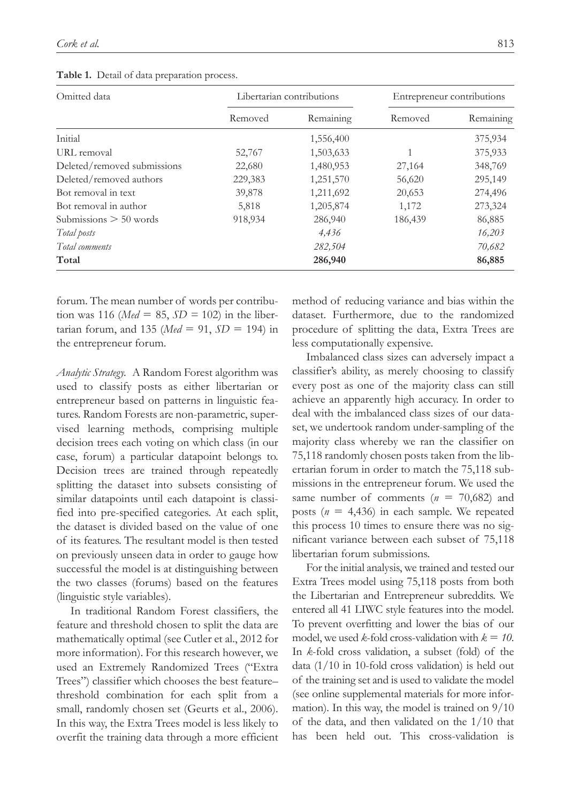|  |  | Table 1. Detail of data preparation process. |  |
|--|--|----------------------------------------------|--|
|  |  |                                              |  |

| Omitted data                |         | Libertarian contributions | Entrepreneur contributions |           |
|-----------------------------|---------|---------------------------|----------------------------|-----------|
|                             | Removed | Remaining                 | Removed                    | Remaining |
| Initial                     |         | 1,556,400                 |                            | 375,934   |
| URL removal                 | 52,767  | 1,503,633                 |                            | 375,933   |
| Deleted/removed submissions | 22,680  | 1,480,953                 | 27,164                     | 348,769   |
| Deleted/removed authors     | 229,383 | 1,251,570                 | 56,620                     | 295,149   |
| Bot removal in text         | 39,878  | 1,211,692                 | 20,653                     | 274,496   |
| Bot removal in author       | 5,818   | 1,205,874                 | 1,172                      | 273,324   |
| Submissions $> 50$ words    | 918,934 | 286,940                   | 186,439                    | 86,885    |
| Total posts                 |         | 4,436                     |                            | 16,203    |
| Total comments              |         | 282,504                   |                            | 70,682    |
| Total                       |         | 286,940                   |                            | 86,885    |

forum. The mean number of words per contribution was 116 ( $Med = 85$ ,  $SD = 102$ ) in the libertarian forum, and 135 ( $Med = 91$ ,  $SD = 194$ ) in the entrepreneur forum.

*Analytic Strategy.* A Random Forest algorithm was used to classify posts as either libertarian or entrepreneur based on patterns in linguistic features. Random Forests are non-parametric, supervised learning methods, comprising multiple decision trees each voting on which class (in our case, forum) a particular datapoint belongs to. Decision trees are trained through repeatedly splitting the dataset into subsets consisting of similar datapoints until each datapoint is classified into pre-specified categories. At each split, the dataset is divided based on the value of one of its features. The resultant model is then tested on previously unseen data in order to gauge how successful the model is at distinguishing between the two classes (forums) based on the features (linguistic style variables).

In traditional Random Forest classifiers, the feature and threshold chosen to split the data are mathematically optimal (see Cutler et al., 2012 for more information). For this research however, we used an Extremely Randomized Trees ("Extra Trees") classifier which chooses the best feature– threshold combination for each split from a small, randomly chosen set (Geurts et al., 2006). In this way, the Extra Trees model is less likely to overfit the training data through a more efficient method of reducing variance and bias within the dataset. Furthermore, due to the randomized procedure of splitting the data, Extra Trees are less computationally expensive.

Imbalanced class sizes can adversely impact a classifier's ability, as merely choosing to classify every post as one of the majority class can still achieve an apparently high accuracy. In order to deal with the imbalanced class sizes of our dataset, we undertook random under-sampling of the majority class whereby we ran the classifier on 75,118 randomly chosen posts taken from the libertarian forum in order to match the 75,118 submissions in the entrepreneur forum. We used the same number of comments  $(n = 70,682)$  and posts  $(n = 4,436)$  in each sample. We repeated this process 10 times to ensure there was no significant variance between each subset of 75,118 libertarian forum submissions.

For the initial analysis, we trained and tested our Extra Trees model using 75,118 posts from both the Libertarian and Entrepreneur subreddits. We entered all 41 LIWC style features into the model. To prevent overfitting and lower the bias of our model, we used *k*-fold cross-validation with  $k = 10$ . In *k*-fold cross validation, a subset (fold) of the data  $(1/10$  in 10-fold cross validation) is held out of the training set and is used to validate the model (see online supplemental materials for more information). In this way, the model is trained on 9/10 of the data, and then validated on the 1/10 that has been held out. This cross-validation is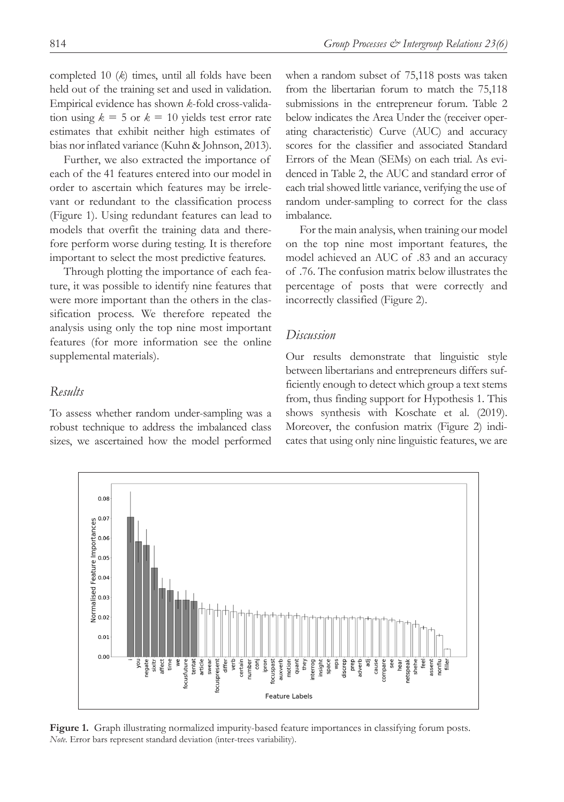completed 10 (*k*) times, until all folds have been held out of the training set and used in validation. Empirical evidence has shown *k*-fold cross-validation using  $k = 5$  or  $k = 10$  yields test error rate estimates that exhibit neither high estimates of bias nor inflated variance (Kuhn & Johnson, 2013).

Further, we also extracted the importance of each of the 41 features entered into our model in order to ascertain which features may be irrelevant or redundant to the classification process (Figure 1). Using redundant features can lead to models that overfit the training data and therefore perform worse during testing. It is therefore important to select the most predictive features.

Through plotting the importance of each feature, it was possible to identify nine features that were more important than the others in the classification process. We therefore repeated the analysis using only the top nine most important features (for more information see the online supplemental materials).

### *Results*

To assess whether random under-sampling was a robust technique to address the imbalanced class sizes, we ascertained how the model performed when a random subset of 75,118 posts was taken from the libertarian forum to match the 75,118 submissions in the entrepreneur forum. Table 2 below indicates the Area Under the (receiver operating characteristic) Curve (AUC) and accuracy scores for the classifier and associated Standard Errors of the Mean (SEMs) on each trial. As evidenced in Table 2, the AUC and standard error of each trial showed little variance, verifying the use of random under-sampling to correct for the class imbalance.

For the main analysis, when training our model on the top nine most important features, the model achieved an AUC of .83 and an accuracy of .76. The confusion matrix below illustrates the percentage of posts that were correctly and incorrectly classified (Figure 2).

### *Discussion*

Our results demonstrate that linguistic style between libertarians and entrepreneurs differs sufficiently enough to detect which group a text stems from, thus finding support for Hypothesis 1. This shows synthesis with Koschate et al. (2019). Moreover, the confusion matrix (Figure 2) indicates that using only nine linguistic features, we are



**Figure 1.** Graph illustrating normalized impurity-based feature importances in classifying forum posts. *Note.* Error bars represent standard deviation (inter-trees variability).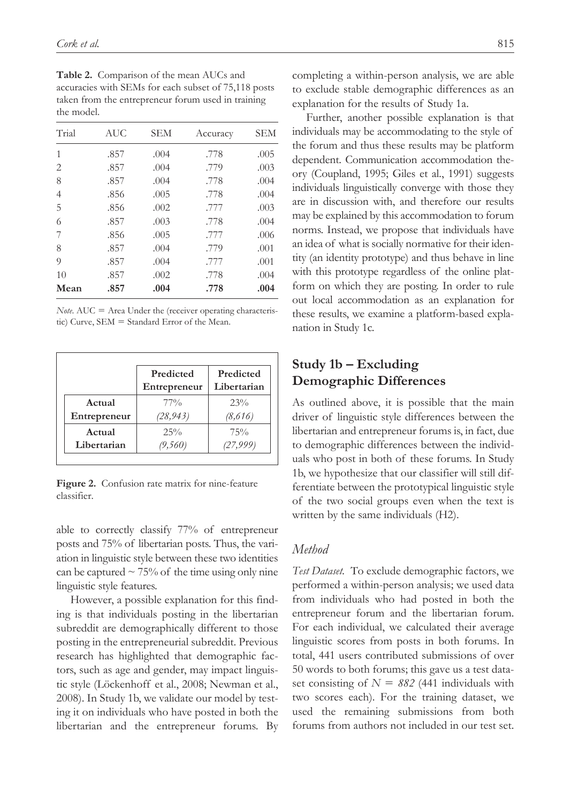| Table 2. Comparison of the mean AUCs and             |
|------------------------------------------------------|
| accuracies with SEMs for each subset of 75,118 posts |
| taken from the entrepreneur forum used in training   |
| the model.                                           |

| Trial          | AUC  | SEM  | Accuracy | <b>SEM</b> |
|----------------|------|------|----------|------------|
| 1              | .857 | .004 | .778     | .005       |
| 2              | .857 | .004 | .779     | .003       |
| 8              | .857 | .004 | .778     | .004       |
| $\overline{4}$ | .856 | .005 | .778     | .004       |
| 5              | .856 | .002 | .777     | .003       |
| 6              | .857 | .003 | .778     | .004       |
| 7              | .856 | .005 | .777     | .006       |
| 8              | .857 | .004 | .779     | .001       |
| 9              | .857 | .004 | .777     | .001       |
| 10             | .857 | .002 | .778     | .004       |
| Mean           | .857 | .004 | .778     | .004       |

*Note*. AUC = Area Under the (receiver operating characteristic) Curve, SEM = Standard Error of the Mean.

|              | Predicted<br>Entrepreneur | Predicted<br>Libertarian |
|--------------|---------------------------|--------------------------|
| Actual       | 77%                       | 23%                      |
| Entrepreneur | (28,943)                  | (8,616)                  |
| Actual       | $25\%$                    | 75%                      |
| Libertarian  | (9,560)                   | (27,999)                 |

**Figure 2.** Confusion rate matrix for nine-feature classifier.

able to correctly classify 77% of entrepreneur posts and 75% of libertarian posts. Thus, the variation in linguistic style between these two identities can be captured  $\sim$  75% of the time using only nine linguistic style features.

However, a possible explanation for this finding is that individuals posting in the libertarian subreddit are demographically different to those posting in the entrepreneurial subreddit. Previous research has highlighted that demographic factors, such as age and gender, may impact linguistic style (Löckenhoff et al., 2008; Newman et al., 2008). In Study 1b, we validate our model by testing it on individuals who have posted in both the libertarian and the entrepreneur forums. By completing a within-person analysis, we are able to exclude stable demographic differences as an explanation for the results of Study 1a.

Further, another possible explanation is that individuals may be accommodating to the style of the forum and thus these results may be platform dependent. Communication accommodation theory (Coupland, 1995; Giles et al., 1991) suggests individuals linguistically converge with those they are in discussion with, and therefore our results may be explained by this accommodation to forum norms. Instead, we propose that individuals have an idea of what is socially normative for their identity (an identity prototype) and thus behave in line with this prototype regardless of the online platform on which they are posting. In order to rule out local accommodation as an explanation for these results, we examine a platform-based explanation in Study 1c.

# **Study 1b – Excluding Demographic Differences**

As outlined above, it is possible that the main driver of linguistic style differences between the libertarian and entrepreneur forums is, in fact, due to demographic differences between the individuals who post in both of these forums. In Study 1b, we hypothesize that our classifier will still differentiate between the prototypical linguistic style of the two social groups even when the text is written by the same individuals (H2).

#### *Method*

*Test Dataset.* To exclude demographic factors, we performed a within-person analysis; we used data from individuals who had posted in both the entrepreneur forum and the libertarian forum. For each individual, we calculated their average linguistic scores from posts in both forums. In total, 441 users contributed submissions of over 50 words to both forums; this gave us a test dataset consisting of  $N = 882$  (441 individuals with two scores each). For the training dataset, we used the remaining submissions from both forums from authors not included in our test set.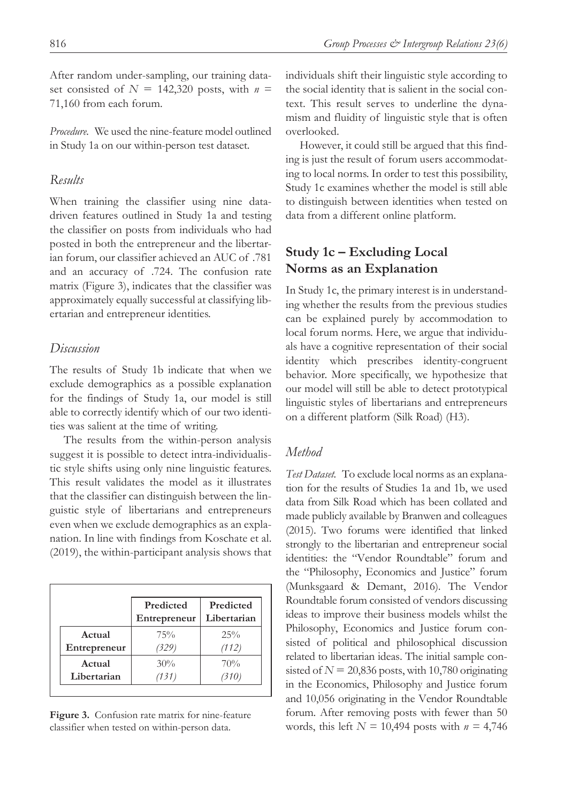After random under-sampling, our training dataset consisted of  $N = 142,320$  posts, with  $n =$ 71,160 from each forum.

*Procedure.* We used the nine-feature model outlined in Study 1a on our within-person test dataset.

### *Results*

When training the classifier using nine datadriven features outlined in Study 1a and testing the classifier on posts from individuals who had posted in both the entrepreneur and the libertarian forum, our classifier achieved an AUC of .781 and an accuracy of .724. The confusion rate matrix (Figure 3), indicates that the classifier was approximately equally successful at classifying libertarian and entrepreneur identities.

### *Discussion*

The results of Study 1b indicate that when we exclude demographics as a possible explanation for the findings of Study 1a, our model is still able to correctly identify which of our two identities was salient at the time of writing.

The results from the within-person analysis suggest it is possible to detect intra-individualistic style shifts using only nine linguistic features. This result validates the model as it illustrates that the classifier can distinguish between the linguistic style of libertarians and entrepreneurs even when we exclude demographics as an explanation. In line with findings from Koschate et al. (2019), the within-participant analysis shows that

|              | Predicted<br>Entrepreneur | Predicted<br>Libertarian |
|--------------|---------------------------|--------------------------|
| Actual       | 75%                       | $25\%$                   |
| Entrepreneur | (329)                     | (112)                    |
| Actual       | 30%                       | 70%                      |
| Libertarian  | (131)                     |                          |

**Figure 3.** Confusion rate matrix for nine-feature classifier when tested on within-person data.

individuals shift their linguistic style according to the social identity that is salient in the social context. This result serves to underline the dynamism and fluidity of linguistic style that is often overlooked.

However, it could still be argued that this finding is just the result of forum users accommodating to local norms. In order to test this possibility, Study 1c examines whether the model is still able to distinguish between identities when tested on data from a different online platform.

## **Study 1c – Excluding Local Norms as an Explanation**

In Study 1c, the primary interest is in understanding whether the results from the previous studies can be explained purely by accommodation to local forum norms. Here, we argue that individuals have a cognitive representation of their social identity which prescribes identity-congruent behavior. More specifically, we hypothesize that our model will still be able to detect prototypical linguistic styles of libertarians and entrepreneurs on a different platform (Silk Road) (H3).

## *Method*

*Test Dataset.* To exclude local norms as an explanation for the results of Studies 1a and 1b, we used data from Silk Road which has been collated and made publicly available by Branwen and colleagues (2015). Two forums were identified that linked strongly to the libertarian and entrepreneur social identities: the "Vendor Roundtable" forum and the "Philosophy, Economics and Justice" forum (Munksgaard & Demant, 2016). The Vendor Roundtable forum consisted of vendors discussing ideas to improve their business models whilst the Philosophy, Economics and Justice forum consisted of political and philosophical discussion related to libertarian ideas. The initial sample consisted of  $N = 20,836$  posts, with 10,780 originating in the Economics, Philosophy and Justice forum and 10,056 originating in the Vendor Roundtable forum. After removing posts with fewer than 50 words, this left *N =* 10,494 posts with *n =* 4,746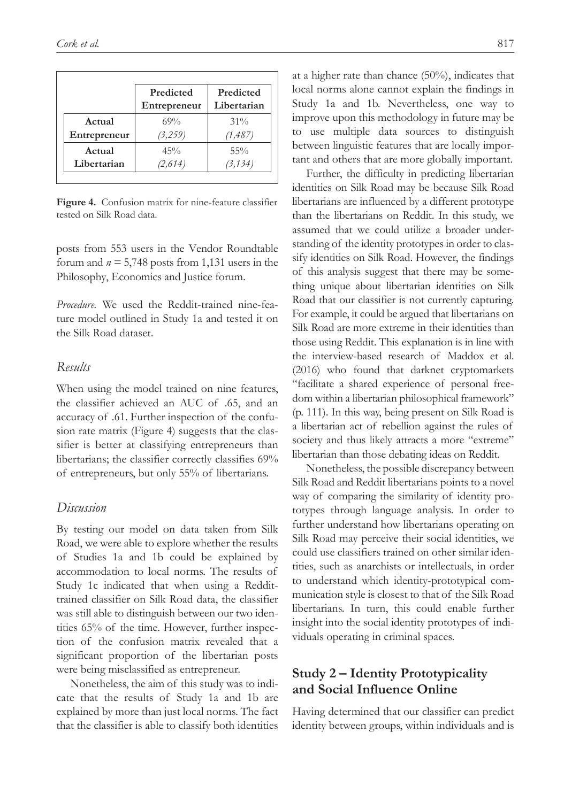|              | Predicted<br>Entrepreneur | Predicted<br>Libertarian |
|--------------|---------------------------|--------------------------|
| Actual       | 69%                       | $31\%$                   |
| Entrepreneur | (3,259)                   | (1, 487)                 |
| Actual       | 45%                       | $55\%$                   |
| Libertarian  | (2,614)                   | (3, 134)                 |

**Figure 4.** Confusion matrix for nine-feature classifier tested on Silk Road data.

posts from 553 users in the Vendor Roundtable forum and  $n = 5,748$  posts from 1,131 users in the Philosophy, Economics and Justice forum.

*Procedure.* We used the Reddit-trained nine-feature model outlined in Study 1a and tested it on the Silk Road dataset.

### *Results*

When using the model trained on nine features, the classifier achieved an AUC of .65, and an accuracy of .61. Further inspection of the confusion rate matrix (Figure 4) suggests that the classifier is better at classifying entrepreneurs than libertarians; the classifier correctly classifies 69% of entrepreneurs, but only 55% of libertarians.

#### *Discussion*

By testing our model on data taken from Silk Road, we were able to explore whether the results of Studies 1a and 1b could be explained by accommodation to local norms. The results of Study 1c indicated that when using a Reddittrained classifier on Silk Road data, the classifier was still able to distinguish between our two identities 65% of the time. However, further inspection of the confusion matrix revealed that a significant proportion of the libertarian posts were being misclassified as entrepreneur.

Nonetheless, the aim of this study was to indicate that the results of Study 1a and 1b are explained by more than just local norms. The fact that the classifier is able to classify both identities at a higher rate than chance (50%), indicates that local norms alone cannot explain the findings in Study 1a and 1b. Nevertheless, one way to improve upon this methodology in future may be to use multiple data sources to distinguish between linguistic features that are locally important and others that are more globally important.

Further, the difficulty in predicting libertarian identities on Silk Road may be because Silk Road libertarians are influenced by a different prototype than the libertarians on Reddit. In this study, we assumed that we could utilize a broader understanding of the identity prototypes in order to classify identities on Silk Road. However, the findings of this analysis suggest that there may be something unique about libertarian identities on Silk Road that our classifier is not currently capturing. For example, it could be argued that libertarians on Silk Road are more extreme in their identities than those using Reddit. This explanation is in line with the interview-based research of Maddox et al. (2016) who found that darknet cryptomarkets "facilitate a shared experience of personal freedom within a libertarian philosophical framework" (p. 111). In this way, being present on Silk Road is a libertarian act of rebellion against the rules of society and thus likely attracts a more "extreme" libertarian than those debating ideas on Reddit.

Nonetheless, the possible discrepancy between Silk Road and Reddit libertarians points to a novel way of comparing the similarity of identity prototypes through language analysis. In order to further understand how libertarians operating on Silk Road may perceive their social identities, we could use classifiers trained on other similar identities, such as anarchists or intellectuals, in order to understand which identity-prototypical communication style is closest to that of the Silk Road libertarians. In turn, this could enable further insight into the social identity prototypes of individuals operating in criminal spaces.

# **Study 2 – Identity Prototypicality and Social Influence Online**

Having determined that our classifier can predict identity between groups, within individuals and is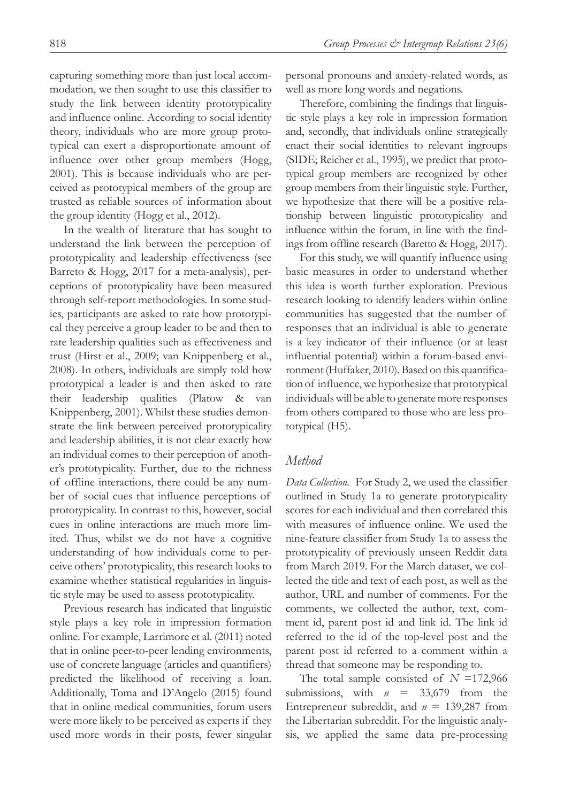capturing something more than just local accommodation, we then sought to use this classifier to study the link between identity prototypicality and influence online. According to social identity theory, individuals who are more group prototypical can exert a disproportionate amount of influence over other group members (Hogg, 2001). This is because individuals who are perceived as prototypical members of the group are trusted as reliable sources of information about the group identity (Hogg et al., 2012).

In the wealth of literature that has sought to understand the link between the perception of prototypicality and leadership effectiveness (see Barreto & Hogg, 2017 for a meta-analysis), perceptions of prototypicality have been measured through self-report methodologies. In some studies, participants are asked to rate how prototypical they perceive a group leader to be and then to rate leadership qualities such as effectiveness and trust (Hirst et al., 2009; van Knippenberg et al., 2008). In others, individuals are simply told how prototypical a leader is and then asked to rate their leadership qualities (Platow & van Knippenberg, 2001). Whilst these studies demonstrate the link between perceived prototypicality and leadership abilities, it is not clear exactly how an individual comes to their perception of another's prototypicality. Further, due to the richness of offline interactions, there could be any number of social cues that influence perceptions of prototypicality. In contrast to this, however, social cues in online interactions are much more limited. Thus, whilst we do not have a cognitive understanding of how individuals come to perceive others' prototypicality, this research looks to examine whether statistical regularities in linguistic style may be used to assess prototypicality.

Previous research has indicated that linguistic style plays a key role in impression formation online. For example, Larrimore et al. (2011) noted that in online peer-to-peer lending environments, use of concrete language (articles and quantifiers) predicted the likelihood of receiving a loan. Additionally, Toma and D'Angelo (2015) found that in online medical communities, forum users were more likely to be perceived as experts if they used more words in their posts, fewer singular

personal pronouns and anxiety-related words, as well as more long words and negations.

Therefore, combining the findings that linguistic style plays a key role in impression formation and, secondly, that individuals online strategically enact their social identities to relevant ingroups (SIDE; Reicher et al., 1995), we predict that prototypical group members are recognized by other group members from their linguistic style. Further, we hypothesize that there will be a positive relationship between linguistic prototypicality and influence within the forum, in line with the findings from offline research (Baretto & Hogg, 2017).

For this study, we will quantify influence using basic measures in order to understand whether this idea is worth further exploration. Previous research looking to identify leaders within online communities has suggested that the number of responses that an individual is able to generate is a key indicator of their influence (or at least influential potential) within a forum-based environment (Huffaker, 2010). Based on this quantification of influence, we hypothesize that prototypical individuals will be able to generate more responses from others compared to those who are less prototypical (H5).

## *Method*

*Data Collection.* For Study 2, we used the classifier outlined in Study 1a to generate prototypicality scores for each individual and then correlated this with measures of influence online. We used the nine-feature classifier from Study 1a to assess the prototypicality of previously unseen Reddit data from March 2019. For the March dataset, we collected the title and text of each post, as well as the author, URL and number of comments. For the comments, we collected the author, text, comment id, parent post id and link id. The link id referred to the id of the top-level post and the parent post id referred to a comment within a thread that someone may be responding to.

The total sample consisted of *N* =172,966 submissions, with  $n = 33,679$  from the Entrepreneur subreddit, and *n* = 139,287 from the Libertarian subreddit. For the linguistic analysis, we applied the same data pre-processing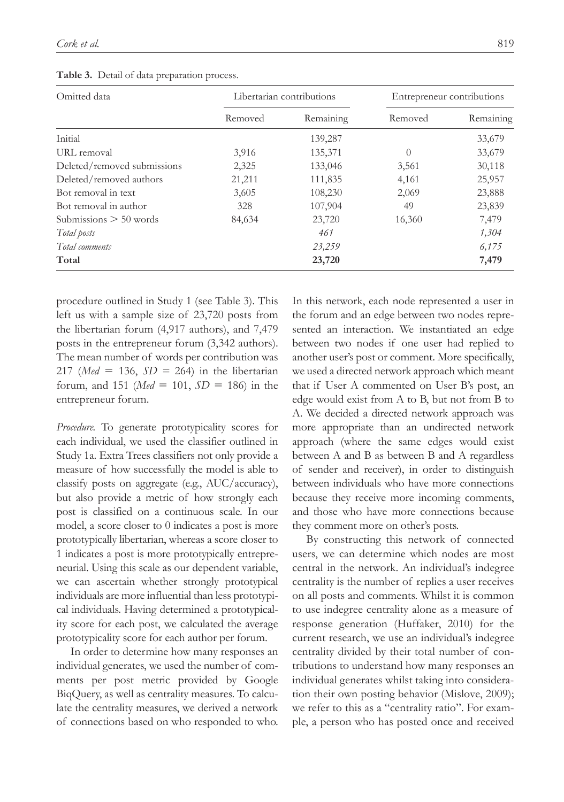| Omitted data                |         | Libertarian contributions | Entrepreneur contributions |           |
|-----------------------------|---------|---------------------------|----------------------------|-----------|
|                             | Removed | Remaining                 | Removed                    | Remaining |
| Initial                     |         | 139,287                   |                            | 33,679    |
| URL removal                 | 3,916   | 135,371                   | $\Omega$                   | 33,679    |
| Deleted/removed submissions | 2,325   | 133,046                   | 3,561                      | 30,118    |
| Deleted/removed authors     | 21,211  | 111,835                   | 4,161                      | 25,957    |
| Bot removal in text         | 3,605   | 108,230                   | 2,069                      | 23,888    |
| Bot removal in author       | 328     | 107,904                   | 49                         | 23,839    |
| Submissions $> 50$ words    | 84,634  | 23,720                    | 16,360                     | 7,479     |
| Total posts                 |         | 461                       |                            | 1,304     |
| Total comments              |         | 23,259                    |                            | 6,175     |
| Total                       |         | 23,720                    |                            | 7,479     |

**Table 3.** Detail of data preparation process.

procedure outlined in Study 1 (see Table 3). This left us with a sample size of 23,720 posts from the libertarian forum (4,917 authors), and 7,479 posts in the entrepreneur forum (3,342 authors). The mean number of words per contribution was 217 (*Med* = 136, *SD =* 264) in the libertarian forum, and 151 (*Med* = 101,  $SD = 186$ ) in the entrepreneur forum.

*Procedure.* To generate prototypicality scores for each individual, we used the classifier outlined in Study 1a. Extra Trees classifiers not only provide a measure of how successfully the model is able to classify posts on aggregate (e.g., AUC/accuracy), but also provide a metric of how strongly each post is classified on a continuous scale. In our model, a score closer to 0 indicates a post is more prototypically libertarian, whereas a score closer to 1 indicates a post is more prototypically entrepreneurial. Using this scale as our dependent variable, we can ascertain whether strongly prototypical individuals are more influential than less prototypical individuals. Having determined a prototypicality score for each post, we calculated the average prototypicality score for each author per forum.

In order to determine how many responses an individual generates, we used the number of comments per post metric provided by Google BiqQuery, as well as centrality measures. To calculate the centrality measures, we derived a network of connections based on who responded to who. In this network, each node represented a user in the forum and an edge between two nodes represented an interaction. We instantiated an edge between two nodes if one user had replied to another user's post or comment. More specifically, we used a directed network approach which meant that if User A commented on User B's post, an edge would exist from A to B, but not from B to A. We decided a directed network approach was more appropriate than an undirected network approach (where the same edges would exist between A and B as between B and A regardless of sender and receiver), in order to distinguish between individuals who have more connections because they receive more incoming comments, and those who have more connections because they comment more on other's posts.

By constructing this network of connected users, we can determine which nodes are most central in the network. An individual's indegree centrality is the number of replies a user receives on all posts and comments. Whilst it is common to use indegree centrality alone as a measure of response generation (Huffaker, 2010) for the current research, we use an individual's indegree centrality divided by their total number of contributions to understand how many responses an individual generates whilst taking into consideration their own posting behavior (Mislove, 2009); we refer to this as a "centrality ratio". For example, a person who has posted once and received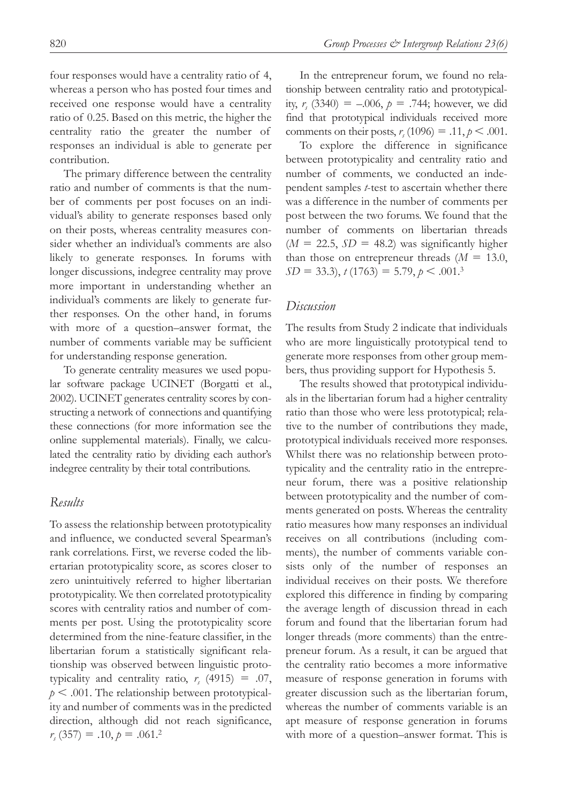four responses would have a centrality ratio of 4, whereas a person who has posted four times and received one response would have a centrality ratio of 0.25. Based on this metric, the higher the centrality ratio the greater the number of responses an individual is able to generate per contribution.

The primary difference between the centrality ratio and number of comments is that the number of comments per post focuses on an individual's ability to generate responses based only on their posts, whereas centrality measures consider whether an individual's comments are also likely to generate responses. In forums with longer discussions, indegree centrality may prove more important in understanding whether an individual's comments are likely to generate further responses. On the other hand, in forums with more of a question–answer format, the number of comments variable may be sufficient for understanding response generation.

To generate centrality measures we used popular software package UCINET (Borgatti et al., 2002). UCINET generates centrality scores by constructing a network of connections and quantifying these connections (for more information see the online supplemental materials). Finally, we calculated the centrality ratio by dividing each author's indegree centrality by their total contributions.

#### *Results*

To assess the relationship between prototypicality and influence, we conducted several Spearman's rank correlations. First, we reverse coded the libertarian prototypicality score, as scores closer to zero unintuitively referred to higher libertarian prototypicality. We then correlated prototypicality scores with centrality ratios and number of comments per post. Using the prototypicality score determined from the nine-feature classifier, in the libertarian forum a statistically significant relationship was observed between linguistic prototypicality and centrality ratio,  $r_s$  (4915) = .07,  $p < .001$ . The relationship between prototypicality and number of comments was in the predicted direction, although did not reach significance,  $r_s(357) = .10, p = .061.2$ 

In the entrepreneur forum, we found no relationship between centrality ratio and prototypicality,  $r_s$  (3340) = -.006,  $p = .744$ ; however, we did find that prototypical individuals received more comments on their posts,  $r_s(1096) = .11, p < .001$ .

To explore the difference in significance between prototypicality and centrality ratio and number of comments, we conducted an independent samples *t*-test to ascertain whether there was a difference in the number of comments per post between the two forums. We found that the number of comments on libertarian threads  $(M = 22.5, SD = 48.2)$  was significantly higher than those on entrepreneur threads  $(M = 13.0,$  $SD = 33.3$ ,  $t(1763) = 5.79$ ,  $p < .001.3$ 

## *Discussion*

The results from Study 2 indicate that individuals who are more linguistically prototypical tend to generate more responses from other group members, thus providing support for Hypothesis 5.

The results showed that prototypical individuals in the libertarian forum had a higher centrality ratio than those who were less prototypical; relative to the number of contributions they made, prototypical individuals received more responses. Whilst there was no relationship between prototypicality and the centrality ratio in the entrepreneur forum, there was a positive relationship between prototypicality and the number of comments generated on posts. Whereas the centrality ratio measures how many responses an individual receives on all contributions (including comments), the number of comments variable consists only of the number of responses an individual receives on their posts. We therefore explored this difference in finding by comparing the average length of discussion thread in each forum and found that the libertarian forum had longer threads (more comments) than the entrepreneur forum. As a result, it can be argued that the centrality ratio becomes a more informative measure of response generation in forums with greater discussion such as the libertarian forum, whereas the number of comments variable is an apt measure of response generation in forums with more of a question–answer format. This is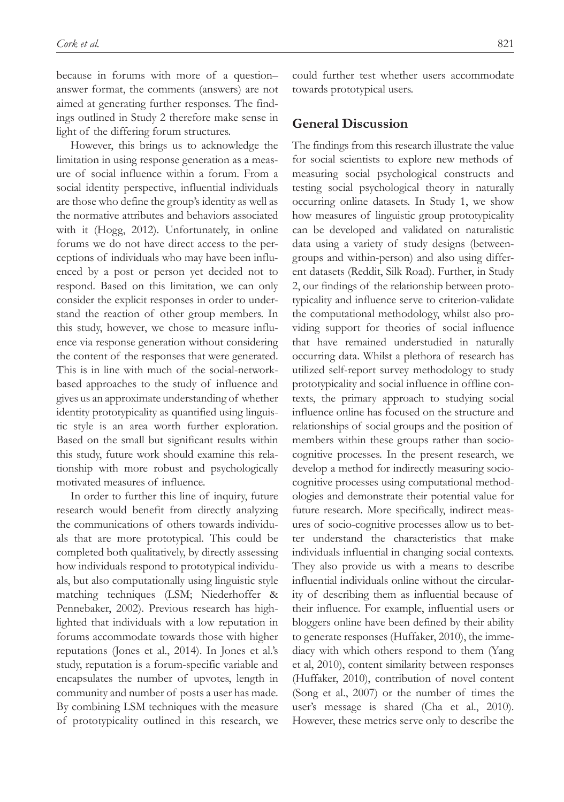because in forums with more of a question– answer format, the comments (answers) are not aimed at generating further responses. The findings outlined in Study 2 therefore make sense in light of the differing forum structures.

However, this brings us to acknowledge the limitation in using response generation as a measure of social influence within a forum. From a social identity perspective, influential individuals are those who define the group's identity as well as the normative attributes and behaviors associated with it (Hogg, 2012). Unfortunately, in online forums we do not have direct access to the perceptions of individuals who may have been influenced by a post or person yet decided not to respond. Based on this limitation, we can only consider the explicit responses in order to understand the reaction of other group members. In this study, however, we chose to measure influence via response generation without considering the content of the responses that were generated. This is in line with much of the social-networkbased approaches to the study of influence and gives us an approximate understanding of whether identity prototypicality as quantified using linguistic style is an area worth further exploration. Based on the small but significant results within this study, future work should examine this relationship with more robust and psychologically motivated measures of influence.

In order to further this line of inquiry, future research would benefit from directly analyzing the communications of others towards individuals that are more prototypical. This could be completed both qualitatively, by directly assessing how individuals respond to prototypical individuals, but also computationally using linguistic style matching techniques (LSM; Niederhoffer & Pennebaker, 2002). Previous research has highlighted that individuals with a low reputation in forums accommodate towards those with higher reputations (Jones et al., 2014). In Jones et al.'s study, reputation is a forum-specific variable and encapsulates the number of upvotes, length in community and number of posts a user has made. By combining LSM techniques with the measure of prototypicality outlined in this research, we could further test whether users accommodate towards prototypical users.

### **General Discussion**

The findings from this research illustrate the value for social scientists to explore new methods of measuring social psychological constructs and testing social psychological theory in naturally occurring online datasets. In Study 1, we show how measures of linguistic group prototypicality can be developed and validated on naturalistic data using a variety of study designs (betweengroups and within-person) and also using different datasets (Reddit, Silk Road). Further, in Study 2, our findings of the relationship between prototypicality and influence serve to criterion-validate the computational methodology, whilst also providing support for theories of social influence that have remained understudied in naturally occurring data. Whilst a plethora of research has utilized self-report survey methodology to study prototypicality and social influence in offline contexts, the primary approach to studying social influence online has focused on the structure and relationships of social groups and the position of members within these groups rather than sociocognitive processes. In the present research, we develop a method for indirectly measuring sociocognitive processes using computational methodologies and demonstrate their potential value for future research. More specifically, indirect measures of socio-cognitive processes allow us to better understand the characteristics that make individuals influential in changing social contexts. They also provide us with a means to describe influential individuals online without the circularity of describing them as influential because of their influence. For example, influential users or bloggers online have been defined by their ability to generate responses (Huffaker, 2010), the immediacy with which others respond to them (Yang et al, 2010), content similarity between responses (Huffaker, 2010), contribution of novel content (Song et al., 2007) or the number of times the user's message is shared (Cha et al., 2010). However, these metrics serve only to describe the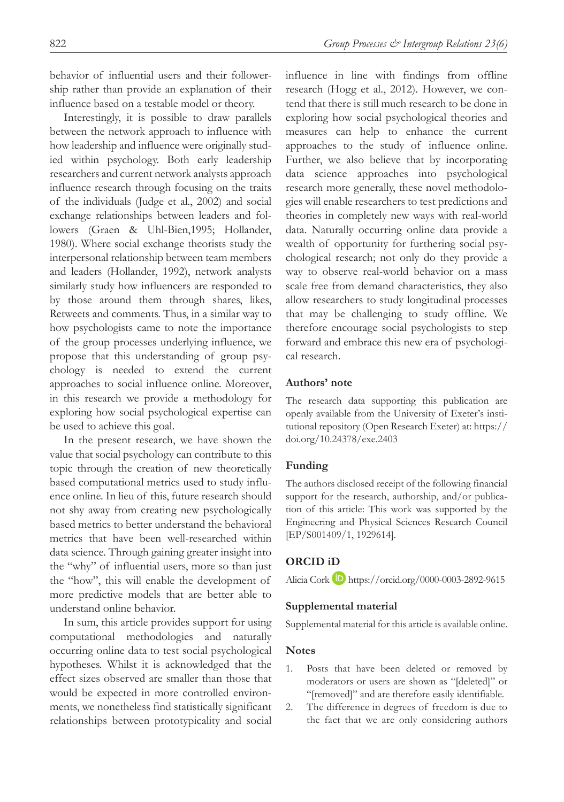behavior of influential users and their followership rather than provide an explanation of their influence based on a testable model or theory.

Interestingly, it is possible to draw parallels between the network approach to influence with how leadership and influence were originally studied within psychology. Both early leadership researchers and current network analysts approach influence research through focusing on the traits of the individuals (Judge et al., 2002) and social exchange relationships between leaders and followers (Graen & Uhl-Bien,1995; Hollander, 1980). Where social exchange theorists study the interpersonal relationship between team members and leaders (Hollander, 1992), network analysts similarly study how influencers are responded to by those around them through shares, likes, Retweets and comments. Thus, in a similar way to how psychologists came to note the importance of the group processes underlying influence, we propose that this understanding of group psychology is needed to extend the current approaches to social influence online. Moreover, in this research we provide a methodology for exploring how social psychological expertise can be used to achieve this goal.

In the present research, we have shown the value that social psychology can contribute to this topic through the creation of new theoretically based computational metrics used to study influence online. In lieu of this, future research should not shy away from creating new psychologically based metrics to better understand the behavioral metrics that have been well-researched within data science. Through gaining greater insight into the "why" of influential users, more so than just the "how", this will enable the development of more predictive models that are better able to understand online behavior.

In sum, this article provides support for using computational methodologies and naturally occurring online data to test social psychological hypotheses. Whilst it is acknowledged that the effect sizes observed are smaller than those that would be expected in more controlled environments, we nonetheless find statistically significant relationships between prototypicality and social

influence in line with findings from offline research (Hogg et al., 2012). However, we contend that there is still much research to be done in exploring how social psychological theories and measures can help to enhance the current approaches to the study of influence online. Further, we also believe that by incorporating data science approaches into psychological research more generally, these novel methodologies will enable researchers to test predictions and theories in completely new ways with real-world data. Naturally occurring online data provide a wealth of opportunity for furthering social psychological research; not only do they provide a way to observe real-world behavior on a mass scale free from demand characteristics, they also allow researchers to study longitudinal processes that may be challenging to study offline. We therefore encourage social psychologists to step forward and embrace this new era of psychological research.

#### **Authors' note**

The research data supporting this publication are openly available from the University of Exeter's institutional repository (Open Research Exeter) at: [https://](https://doi.org/10.24378/exe.2403) [doi.org/10.24378/exe.2403](https://doi.org/10.24378/exe.2403)

#### **Funding**

The authors disclosed receipt of the following financial support for the research, authorship, and/or publication of this article: This work was supported by the Engineering and Physical Sciences Research Council [EP/S001409/1, 1929614].

#### **ORCID iD**

Alicia Cork **b** <https://orcid.org/0000-0003-2892-9615>

#### **Supplemental material**

Supplemental material for this article is available online.

#### **Notes**

- 1. Posts that have been deleted or removed by moderators or users are shown as "[deleted]" or "[removed]" and are therefore easily identifiable.
- 2. The difference in degrees of freedom is due to the fact that we are only considering authors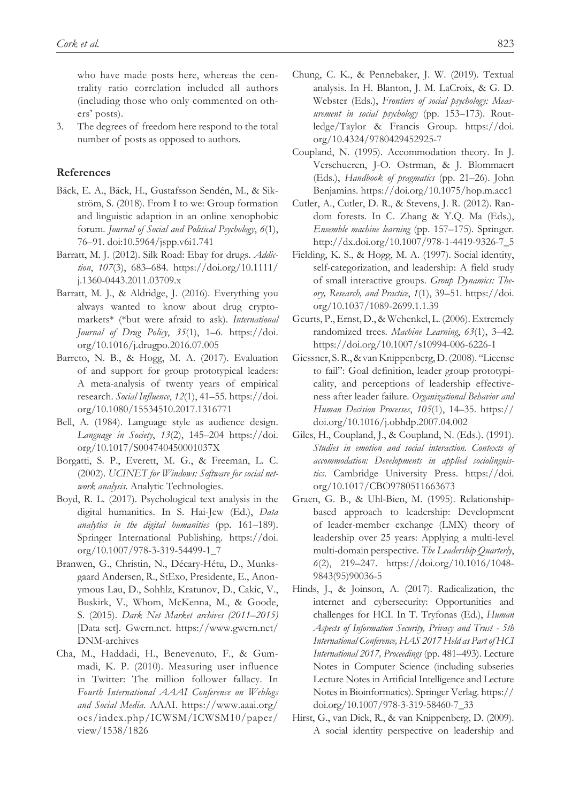who have made posts here, whereas the centrality ratio correlation included all authors (including those who only commented on others' posts).

3. The degrees of freedom here respond to the total number of posts as opposed to authors.

#### **References**

- Bäck, E. A., Bäck, H., Gustafsson Sendén, M., & Sikström, S. (2018). From I to we: Group formation and linguistic adaption in an online xenophobic forum. *Journal of Social and Political Psychology*, *6*(1), 76–91. doi:10.5964/jspp.v6i1.741
- Barratt, M. J. (2012). Silk Road: Ebay for drugs. *Addiction*, *107*(3), 683–684. [https://doi.org/10.1111/](https://doi.org/10.1111/j.1360-0443.2011.03709.x) [j.1360-0443.2011.03709.x](https://doi.org/10.1111/j.1360-0443.2011.03709.x)
- Barratt, M. J., & Aldridge, J. (2016). Everything you always wanted to know about drug cryptomarkets\* (\*but were afraid to ask). *International Journal of Drug Policy*, *35*(1), 1–6. [https://doi.](https://doi.org/10.1016/j.drugpo.2016.07.005) [org/10.1016/j.drugpo.2016.07.005](https://doi.org/10.1016/j.drugpo.2016.07.005)
- Barreto, N. B., & Hogg, M. A. (2017). Evaluation of and support for group prototypical leaders: A meta-analysis of twenty years of empirical research. *Social Influence*, *12*(1), 41–55. [https://doi.](https://doi.org/10.1080/15534510.2017.1316771) [org/10.1080/15534510.2017.1316771](https://doi.org/10.1080/15534510.2017.1316771)
- Bell, A. (1984). Language style as audience design. *Language in Society*, *13*(2), 145–204 [https://doi.](https://doi.org/10.1017/S004740450001037X) [org/10.1017/S004740450001037X](https://doi.org/10.1017/S004740450001037X)
- Borgatti, S. P., Everett, M. G., & Freeman, L. C. (2002). *UCINET for Windows: Software for social network analysis*. Analytic Technologies.
- Boyd, R. L. (2017). Psychological text analysis in the digital humanities. In S. Hai-Jew (Ed.), *Data analytics in the digital humanities* (pp. 161–189). Springer International Publishing. [https://doi.](https://doi.org/10.1007/978-3-319-54499-1_7) [org/10.1007/978-3-319-54499-1\\_7](https://doi.org/10.1007/978-3-319-54499-1_7)
- Branwen, G., Christin, N., Décary-Hétu, D., Munksgaard Andersen, R., StExo, Presidente, E., Anonymous Lau, D., Sohhlz, Kratunov, D., Cakic, V., Buskirk, V., Whom, McKenna, M., & Goode, S. (2015). *Dark Net Market archives (2011–2015)* [Data set]. Gwern.net. [https://www.gwern.net/](https://www.gwern.net/DNM-archives) [DNM-archives](https://www.gwern.net/DNM-archives)
- Cha, M., Haddadi, H., Benevenuto, F., & Gummadi, K. P. (2010). Measuring user influence in Twitter: The million follower fallacy. In *Fourth International AAAI Conference on Weblogs and Social Media*. AAAI. [https://www.aaai.org/](https://www.aaai.org/ocs/index.php/ICWSM/ICWSM10/paper/view/1538/1826) [ocs/index.php/ICWSM/ICWSM10/paper/](https://www.aaai.org/ocs/index.php/ICWSM/ICWSM10/paper/view/1538/1826) [view/1538/1826](https://www.aaai.org/ocs/index.php/ICWSM/ICWSM10/paper/view/1538/1826)
- Chung, C. K., & Pennebaker, J. W. (2019). Textual analysis. In H. Blanton, J. M. LaCroix, & G. D. Webster (Eds.), *Frontiers of social psychology: Measurement in social psychology* (pp. 153–173). Routledge/Taylor & Francis Group. [https://doi.](https://doi.org/10.4324/9780429452925-7) [org/10.4324/9780429452925-7](https://doi.org/10.4324/9780429452925-7)
- Coupland, N. (1995). Accommodation theory. In J. Verschueren, J-O. Ostrman, & J. Blommaert (Eds.), *Handbook of pragmatics* (pp. 21–26). John Benjamins.<https://doi.org/10.1075/hop.m.acc1>
- Cutler, A., Cutler, D. R., & Stevens, J. R. (2012). Random forests. In C. Zhang & Y.Q. Ma (Eds.), *Ensemble machine learning* (pp. 157–175). Springer. [http://dx.doi.org/10.1007/978-1-4419-9326-7\\_5](http://dx.doi.org/10.1007/978-1-4419-9326-7_5)
- Fielding, K. S., & Hogg, M. A. (1997). Social identity, self-categorization, and leadership: A field study of small interactive groups. *Group Dynamics: Theory, Research, and Practice*, *1*(1), 39–51. [https://doi.](https://doi.org/10.1037/1089-2699.1.1.39) [org/10.1037/1089-2699.1.1.39](https://doi.org/10.1037/1089-2699.1.1.39)
- Geurts, P., Ernst, D., & Wehenkel, L. (2006). Extremely randomized trees. *Machine Learning*, *63*(1), 3–42. <https://doi.org/10.1007/s10994-006-6226-1>
- Giessner, S. R., & van Knippenberg, D. (2008). "License to fail": Goal definition, leader group prototypicality, and perceptions of leadership effectiveness after leader failure. *Organizational Behavior and Human Decision Processes*, *105*(1), 14–35. [https://](https://doi.org/10.1016/j.obhdp.2007.04.002) [doi.org/10.1016/j.obhdp.2007.04.002](https://doi.org/10.1016/j.obhdp.2007.04.002)
- Giles, H., Coupland, J., & Coupland, N. (Eds.). (1991). *Studies in emotion and social interaction. Contexts of accommodation: Developments in applied sociolinguistics*. Cambridge University Press. [https://doi.](https://doi.org/10.1017/CBO9780511663673) [org/10.1017/CBO9780511663673](https://doi.org/10.1017/CBO9780511663673)
- Graen, G. B., & Uhl-Bien, M. (1995). Relationshipbased approach to leadership: Development of leader-member exchange (LMX) theory of leadership over 25 years: Applying a multi-level multi-domain perspective. *The Leadership Quarterly*, *6*(2), 219–247. [https://doi.org/10.1016/1048-](https://doi.org/10.1016/1048-9843(95)90036-5) [9843\(95\)90036-5](https://doi.org/10.1016/1048-9843(95)90036-5)
- Hinds, J., & Joinson, A. (2017). Radicalization, the internet and cybersecurity: Opportunities and challenges for HCI. In T. Tryfonas (Ed.), *Human Aspects of Information Security, Privacy and Trust - 5th International Conference, HAS 2017 Held as Part of HCI International 2017, Proceedings* (pp. 481–493). Lecture Notes in Computer Science (including subseries Lecture Notes in Artificial Intelligence and Lecture Notes in Bioinformatics). Springer Verlag. https:// doi.org/10.1007/978-3-319-58460-7\_33
- Hirst, G., van Dick, R., & van Knippenberg, D. (2009). A social identity perspective on leadership and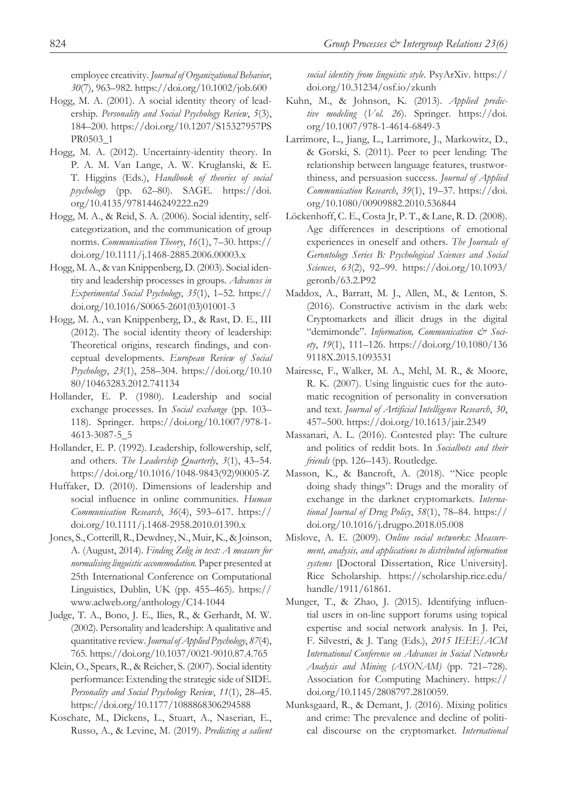employee creativity. *Journal of Organizational Behavior*, *30*(7), 963–982.<https://doi.org/10.1002/job.600>

- Hogg, M. A. (2001). A social identity theory of leadership. *Personality and Social Psychology Review*, *5*(3), 184–200. [https://doi.org/10.1207/S15327957PS](https://doi.org/10.1207/S15327957PSPR0503_1) [PR0503\\_1](https://doi.org/10.1207/S15327957PSPR0503_1)
- Hogg, M. A. (2012). Uncertainty-identity theory. In P. A. M. Van Lange, A. W. Kruglanski, & E. T. Higgins (Eds.), *Handbook of theories of social psychology* (pp. 62–80). SAGE. [https://doi.](https://doi.org/10.4135/9781446249222.n29) [org/10.4135/9781446249222.n29](https://doi.org/10.4135/9781446249222.n29)
- Hogg, M. A., & Reid, S. A. (2006). Social identity, selfcategorization, and the communication of group norms. *Communication Theory*, *16*(1), 7–30. [https://](https://doi.org/10.1111/j.1468-2885.2006.00003.x) [doi.org/10.1111/j.1468-2885.2006.00003.x](https://doi.org/10.1111/j.1468-2885.2006.00003.x)
- Hogg, M. A., & van Knippenberg, D. (2003). Social identity and leadership processes in groups. *Advances in Experimental Social Psychology*, *35*(1), 1–52. [https://](https://doi.org/10.1016/S0065-2601(03)01001-3) [doi.org/10.1016/S0065-2601\(03\)01001-3](https://doi.org/10.1016/S0065-2601(03)01001-3)
- Hogg, M. A., van Knippenberg, D., & Rast, D. E., III (2012). The social identity theory of leadership: Theoretical origins, research findings, and conceptual developments. *European Review of Social Psychology*, *23*(1), 258–304. [https://doi.org/10.10](https://doi.org/10.1080/10463283.2012.741134) [80/10463283.2012.741134](https://doi.org/10.1080/10463283.2012.741134)
- Hollander, E. P. (1980). Leadership and social exchange processes. In *Social exchange* (pp. 103– 118). Springer. [https://doi.org/10.1007/978-1-](https://doi.org/10.1007/978-1-4613-3087-5_5) [4613-3087-5\\_5](https://doi.org/10.1007/978-1-4613-3087-5_5)
- Hollander, E. P. (1992). Leadership, followership, self, and others. *The Leadership Quarterly*, *3*(1), 43–54. [https://doi.org/10.1016/1048-9843\(92\)90005-Z](https://doi.org/10.1016/1048-9843(92)90005-Z)
- Huffaker, D. (2010). Dimensions of leadership and social influence in online communities. *Human Communication Research*, *36*(4), 593–617. [https://](https://doi.org/10.1111/j.1468-2958.2010.01390.x) [doi.org/10.1111/j.1468-2958.2010.01390.x](https://doi.org/10.1111/j.1468-2958.2010.01390.x)
- Jones, S., Cotterill, R., Dewdney, N., Muir, K., & Joinson, A. (August, 2014). *Finding Zelig in text: A measure for normalising linguistic accommodation*. Paper presented at 25th International Conference on Computational Linguistics, Dublin, UK (pp. 455–465). [https://](https://www.aclweb.org/anthology/C14-1044) [www.aclweb.org/anthology/C14-1044](https://www.aclweb.org/anthology/C14-1044)
- Judge, T. A., Bono, J. E., Ilies, R., & Gerhardt, M. W. (2002). Personality and leadership: A qualitative and quantitative review. *Journal of Applied Psychology*, *87*(4), 765. <https://doi.org/10.1037/0021-9010.87.4.765>
- Klein, O., Spears, R., & Reicher, S. (2007). Social identity performance: Extending the strategic side of SIDE. *Personality and Social Psychology Review*, *11*(1), 28–45. <https://doi.org/10.1177/1088868306294588>
- Koschate, M., Dickens, L., Stuart, A., Naserian, E., Russo, A., & Levine, M. (2019). *Predicting a salient*

*social identity from linguistic style*. PsyArXiv. [https://](https://doi.org/10.31234/osf.io/zkunh) [doi.org/10.31234/osf.io/zkunh](https://doi.org/10.31234/osf.io/zkunh)

- Kuhn, M., & Johnson, K. (2013). *Applied predictive modeling* (*Vol. 26*). Springer. [https://doi.](https://doi.org/10.1007/978-1-4614-6849-3) [org/10.1007/978-1-4614-6849-3](https://doi.org/10.1007/978-1-4614-6849-3)
- Larrimore, L., Jiang, L., Larrimore, J., Markowitz, D., & Gorski, S. (2011). Peer to peer lending: The relationship between language features, trustworthiness, and persuasion success. *Journal of Applied Communication Research*, *39*(1), 19–37. [https://doi.](https://doi.org/10.1080/00909882.2010.536844) [org/10.1080/00909882.2010.536844](https://doi.org/10.1080/00909882.2010.536844)
- Löckenhoff, C. E., Costa Jr, P. T., & Lane, R. D. (2008). Age differences in descriptions of emotional experiences in oneself and others. *The Journals of Gerontology Series B: Psychological Sciences and Social Sciences*, *63*(2), 92–99. [https://doi.org/10.1093/](https://doi.org/10.1093/geronb/63.2.P92) [geronb/63.2.P92](https://doi.org/10.1093/geronb/63.2.P92)
- Maddox, A., Barratt, M. J., Allen, M., & Lenton, S. (2016). Constructive activism in the dark web: Cryptomarkets and illicit drugs in the digital "demimonde". *Information, Communication & Society*, *19*(1), 111–126. [https://doi.org/10.1080/136](https://doi.org/10.1080/1369118X.2015.1093531) [9118X.2015.1093531](https://doi.org/10.1080/1369118X.2015.1093531)
- Mairesse, F., Walker, M. A., Mehl, M. R., & Moore, R. K. (2007). Using linguistic cues for the automatic recognition of personality in conversation and text. *Journal of Artificial Intelligence Research*, *30*, 457–500.<https://doi.org/10.1613/jair.2349>
- Massanari, A. L. (2016). Contested play: The culture and politics of reddit bots. In *Socialbots and their friends* (pp. 126–143). Routledge.
- Masson, K., & Bancroft, A. (2018). "Nice people doing shady things": Drugs and the morality of exchange in the darknet cryptomarkets. *International Journal of Drug Policy*, *58*(1), 78–84. [https://](https://doi.org/10.1016/j.drugpo.2018.05.008) [doi.org/10.1016/j.drugpo.2018.05.008](https://doi.org/10.1016/j.drugpo.2018.05.008)
- Mislove, A. E. (2009). *Online social networks: Measurement, analysis, and applications to distributed information systems* [Doctoral Dissertation, Rice University]. Rice Scholarship. [https://scholarship.rice.edu/](https://scholarship.rice.edu/handle/1911/61861) [handle/1911/61861](https://scholarship.rice.edu/handle/1911/61861).
- Munger, T., & Zhao, J. (2015). Identifying influential users in on-line support forums using topical expertise and social network analysis. In J. Pei, F. Silvestri, & J. Tang (Eds.), *2015 IEEE/ACM International Conference on Advances in Social Networks Analysis and Mining (ASONAM)* (pp. 721–728). Association for Computing Machinery. [https://](https://doi.org/10.1145/2808797.2810059) [doi.org/10.1145/2808797.2810059](https://doi.org/10.1145/2808797.2810059).
- Munksgaard, R., & Demant, J. (2016). Mixing politics and crime: The prevalence and decline of political discourse on the cryptomarket. *International*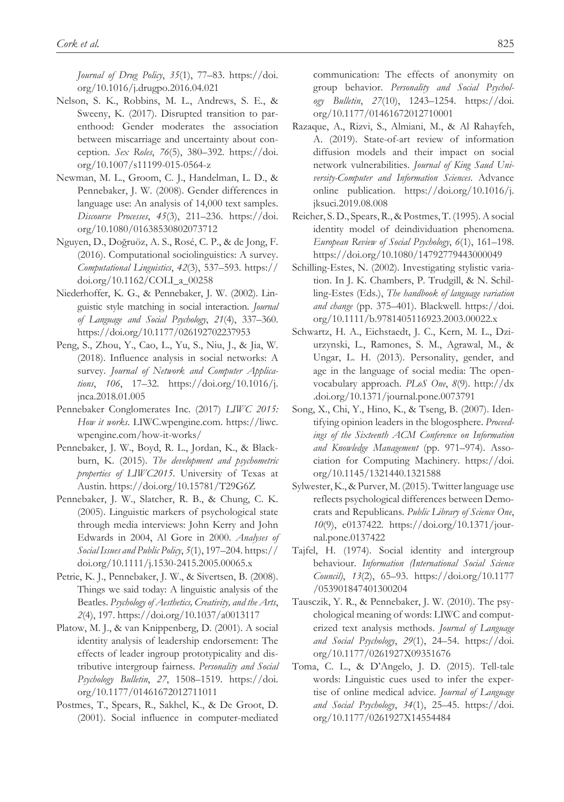*Journal of Drug Policy*, *35*(1), 77–83. [https://doi.](https://doi.org/10.1016/j.drugpo.2016.04.021) [org/10.1016/j.drugpo.2016.04.021](https://doi.org/10.1016/j.drugpo.2016.04.021)

- Nelson, S. K., Robbins, M. L., Andrews, S. E., & Sweeny, K. (2017). Disrupted transition to parenthood: Gender moderates the association between miscarriage and uncertainty about conception. *Sex Roles*, *76*(5), 380–392. [https://doi.](https://doi.org/10.1007/s11199-015-0564-z) [org/10.1007/s11199-015-0564-z](https://doi.org/10.1007/s11199-015-0564-z)
- Newman, M. L., Groom, C. J., Handelman, L. D., & Pennebaker, J. W. (2008). Gender differences in language use: An analysis of 14,000 text samples. *Discourse Processes*, *45*(3), 211–236. [https://doi.](https://doi.org/10.1080/01638530802073712) [org/10.1080/01638530802073712](https://doi.org/10.1080/01638530802073712)
- Nguyen, D., Doğruöz, A. S., Rosé, C. P., & de Jong, F. (2016). Computational sociolinguistics: A survey. *Computational Linguistics*, *42*(3), 537–593. [https://](https://doi.org/10.1162/COLI_a_00258) [doi.org/10.1162/COLI\\_a\\_00258](https://doi.org/10.1162/COLI_a_00258)
- Niederhoffer, K. G., & Pennebaker, J. W. (2002). Linguistic style matching in social interaction. *Journal of Language and Social Psychology*, *21*(4), 337–360. <https://doi.org/10.1177/026192702237953>
- Peng, S., Zhou, Y., Cao, L., Yu, S., Niu, J., & Jia, W. (2018). Influence analysis in social networks: A survey. *Journal of Network and Computer Applications*, *106*, 17–32. [https://doi.org/10.1016/j.](https://doi.org/10.1016/j.jnca.2018.01.005) [jnca.2018.01.005](https://doi.org/10.1016/j.jnca.2018.01.005)
- Pennebaker Conglomerates Inc. (2017) *LIWC 2015: How it works*. LIWC.wpengine.com. [https://liwc.](https://liwc.wpengine.com/how-it-works/) [wpengine.com/how-it-works/](https://liwc.wpengine.com/how-it-works/)
- Pennebaker, J. W., Boyd, R. L., Jordan, K., & Blackburn, K. (2015). *The development and psychometric properties of LIWC2015*. University of Texas at Austin.<https://doi.org/10.15781/T29G6Z>
- Pennebaker, J. W., Slatcher, R. B., & Chung, C. K. (2005). Linguistic markers of psychological state through media interviews: John Kerry and John Edwards in 2004, Al Gore in 2000. *Analyses of Social Issues and Public Policy*, *5*(1), 197–204. [https://](https://doi.org/10.1111/j.1530-2415.2005.00065.x) [doi.org/10.1111/j.1530-2415.2005.00065.x](https://doi.org/10.1111/j.1530-2415.2005.00065.x)
- Petrie, K. J., Pennebaker, J. W., & Sivertsen, B. (2008). Things we said today: A linguistic analysis of the Beatles. *Psychology of Aesthetics, Creativity, and the Arts*, *2*(4), 197.<https://doi.org/10.1037/a0013117>
- Platow, M. J., & van Knippenberg, D. (2001). A social identity analysis of leadership endorsement: The effects of leader ingroup prototypicality and distributive intergroup fairness. *Personality and Social Psychology Bulletin*, *27*, 1508–1519. [https://doi.](https://doi.org/10.1177/01461672012711011) [org/10.1177/01461672012711011](https://doi.org/10.1177/01461672012711011)
- Postmes, T., Spears, R., Sakhel, K., & De Groot, D. (2001). Social influence in computer-mediated

communication: The effects of anonymity on group behavior. *Personality and Social Psychology Bulletin*, *27*(10), 1243–1254. [https://doi.](https://doi.org/10.1177/01461672012710001) [org/10.1177/01461672012710001](https://doi.org/10.1177/01461672012710001)

- Razaque, A., Rizvi, S., Almiani, M., & Al Rahayfeh, A. (2019). State-of-art review of information diffusion models and their impact on social network vulnerabilities. *Journal of King Saud University-Computer and Information Sciences*. Advance online publication. [https://doi.org/10.1016/j.](https://doi.org/10.1016/j.jksuci.2019.08.008) [jksuci.2019.08.008](https://doi.org/10.1016/j.jksuci.2019.08.008)
- Reicher, S. D., Spears, R., & Postmes, T. (1995). A social identity model of deindividuation phenomena. *European Review of Social Psychology*, *6*(1), 161–198. <https://doi.org/10.1080/14792779443000049>
- Schilling-Estes, N. (2002). Investigating stylistic variation. In J. K. Chambers, P. Trudgill, & N. Schilling-Estes (Eds.), *The handbook of language variation and change* (pp. 375–401). Blackwell. [https://doi.](https://doi.org/10.1111/b.9781405116923.2003.00022.x) [org/10.1111/b.9781405116923.2003.00022.x](https://doi.org/10.1111/b.9781405116923.2003.00022.x)
- Schwartz, H. A., Eichstaedt, J. C., Kern, M. L., Dziurzynski, L., Ramones, S. M., Agrawal, M., & Ungar, L. H. (2013). Personality, gender, and age in the language of social media: The openvocabulary approach. *PLoS One*, *8*(9). [http://dx](http://dx.doi.org/10.1371/journal.pone.0073791) [.doi.org/10.1371/journal.pone.0073791](http://dx.doi.org/10.1371/journal.pone.0073791)
- Song, X., Chi, Y., Hino, K., & Tseng, B. (2007). Identifying opinion leaders in the blogosphere. *Proceedings of the Sixteenth ACM Conference on Information and Knowledge Management* (pp. 971–974). Association for Computing Machinery. [https://doi.](https://doi.org/10.1145/1321440.1321588) [org/10.1145/1321440.1321588](https://doi.org/10.1145/1321440.1321588)
- Sylwester, K., & Purver, M. (2015). Twitter language use reflects psychological differences between Democrats and Republicans. *Public Library of Science One*, *10*(9), e0137422. [https://doi.org/10.1371/jour](https://doi.org/10.1371/journal.pone.0137422)[nal.pone.0137422](https://doi.org/10.1371/journal.pone.0137422)
- Tajfel, H. (1974). Social identity and intergroup behaviour. *Information (International Social Science Council)*, *13*(2), 65–93. [https://doi.org/10.1177](https://doi.org/10.1177/053901847401300204) [/053901847401300204](https://doi.org/10.1177/053901847401300204)
- Tausczik, Y. R., & Pennebaker, J. W. (2010). The psychological meaning of words: LIWC and computerized text analysis methods. *Journal of Language and Social Psychology*, *29*(1), 24–54. [https://doi.](https://doi.org/10.1177/0261927X09351676) [org/10.1177/0261927X09351676](https://doi.org/10.1177/0261927X09351676)
- Toma, C. L., & D'Angelo, J. D. (2015). Tell-tale words: Linguistic cues used to infer the expertise of online medical advice. *Journal of Language and Social Psychology*, *34*(1), 25–45. [https://doi.](https://doi.org/10.1177/0261927X14554484) [org/10.1177/0261927X14554484](https://doi.org/10.1177/0261927X14554484)